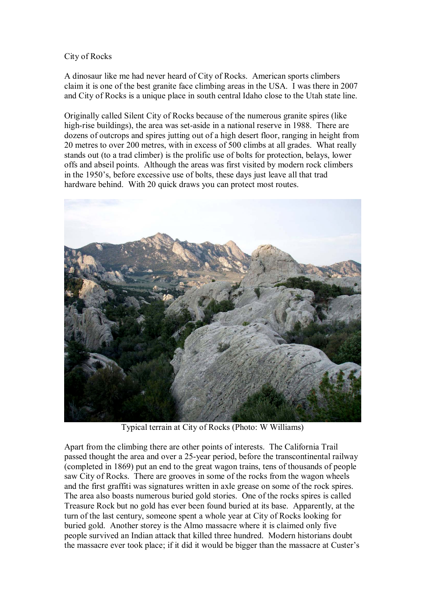## City of Rocks

A dinosaur like me had never heard of City of Rocks. American sports climbers claim it is one of the best granite face climbing areas in the USA. I was there in 2007 and City of Rocks is a unique place in south central Idaho close to the Utah state line.

Originally called Silent City of Rocks because of the numerous granite spires (like high-rise buildings), the area was set-aside in a national reserve in 1988. There are dozens of outcrops and spires jutting out of a high desert floor, ranging in height from 20 metres to over 200 metres, with in excess of 500 climbs at all grades. What really stands out (to a trad climber) is the prolific use of bolts for protection, belays, lower offs and abseil points. Although the areas was first visited by modern rock climbers in the 1950's, before excessive use of bolts, these days just leave all that trad hardware behind. With 20 quick draws you can protect most routes.



Typical terrain at City of Rocks (Photo: W Williams)

Apart from the climbing there are other points of interests. The California Trail passed thought the area and over a 25-year period, before the transcontinental railway (completed in 1869) put an end to the great wagon trains, tens of thousands of people saw City of Rocks. There are grooves in some of the rocks from the wagon wheels and the first graffiti was signatures written in axle grease on some of the rock spires. The area also boasts numerous buried gold stories. One of the rocks spires is called Treasure Rock but no gold has ever been found buried at its base. Apparently, at the turn of the last century, someone spent a whole year at City of Rocks looking for buried gold. Another storey is the Almo massacre where it is claimed only five people survived an Indian attack that killed three hundred. Modern historians doubt the massacre ever took place; if it did it would be bigger than the massacre at Custer's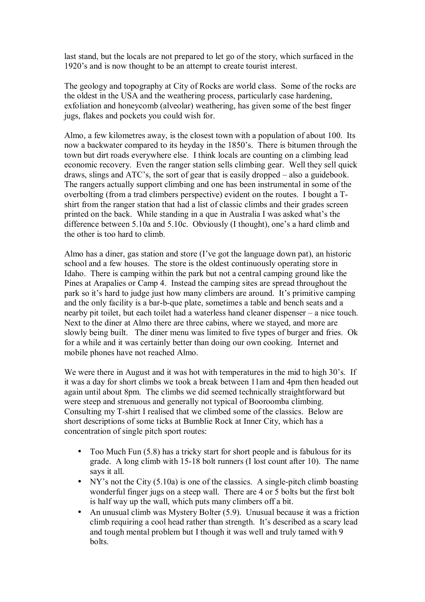last stand, but the locals are not prepared to let go of the story, which surfaced in the 1920's and is now thought to be an attempt to create tourist interest.

The geology and topography at City of Rocks are world class. Some of the rocks are the oldest in the USA and the weathering process, particularly case hardening, exfoliation and honeycomb (alveolar) weathering, has given some of the best finger jugs, flakes and pockets you could wish for.

Almo, a few kilometres away, is the closest town with a population of about 100. Its now a backwater compared to its heyday in the 1850's. There is bitumen through the town but dirt roads everywhere else. I think locals are counting on a climbing lead economic recovery. Even the ranger station sells climbing gear. Well they sell quick draws, slings and  $ATC$ 's, the sort of gear that is easily dropped  $-$  also a guidebook. The rangers actually support climbing and one has been instrumental in some of the overbolting (from a trad climbers perspective) evident on the routes. I bought a Tshirt from the ranger station that had a list of classic climbs and their grades screen printed on the back. While standing in a que in Australia I was asked what's the difference between 5.10a and 5.10c. Obviously  $(I$  thought), one's a hard climb and the other is too hard to climb.

Almo has a diner, gas station and store  $(1$  ve got the language down pat), an historic school and a few houses. The store is the oldest continuously operating store in Idaho. There is camping within the park but not a central camping ground like the Pines at Arapalies or Camp 4. Instead the camping sites are spread throughout the park so it's hard to judge just how many climbers are around. It's primitive camping and the only facility is a bar-b-que plate, sometimes a table and bench seats and a nearby pit toilet, but each toilet had a waterless hand cleaner dispenser  $-\alpha$  nice touch. Next to the diner at Almo there are three cabins, where we stayed, and more are slowly being built. The diner menu was limited to five types of burger and fries. Ok for a while and it was certainly better than doing our own cooking. Internet and mobile phones have not reached Almo.

We were there in August and it was hot with temperatures in the mid to high 30's. If it was a day for short climbs we took a break between 11am and 4pm then headed out again until about 8pm. The climbs we did seemed technically straightforward but were steep and strenuous and generally not typical of Booroomba climbing. Consulting my T-shirt I realised that we climbed some of the classics. Below are short descriptions of some ticks at Bumblie Rock at Inner City, which has a concentration of single pitch sport routes:

- Too Much Fun (5.8) has a tricky start for short people and is fabulous for its grade. A long climb with 15-18 bolt runners (I lost count after 10). The name says it all.
- NY's not the City  $(5.10a)$  is one of the classics. A single-pitch climb boasting wonderful finger jugs on a steep wall. There are 4 or 5 bolts but the first bolt is half way up the wall, which puts many climbers off a bit.
- An unusual climb was Mystery Bolter (5.9). Unusual because it was a friction climb requiring a cool head rather than strength. It's described as a scary lead and tough mental problem but I though it was well and truly tamed with 9 bolts.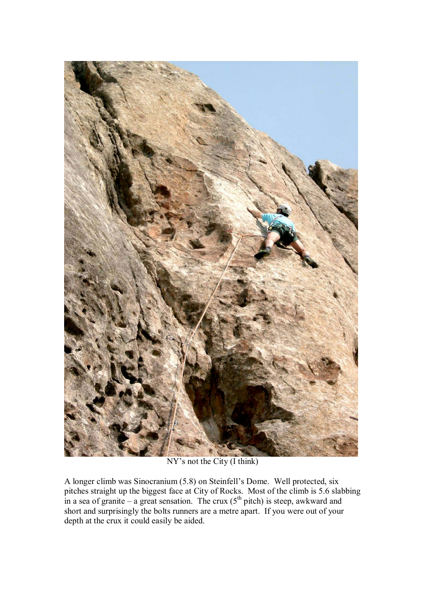

NY's not the City (I think)

A longer climb was Sinocranium (5.8) on Steinfell's Dome. Well protected, six pitches straight up the biggest face at City of Rocks. Most of the climb is 5.6 slabbing in a sea of granite – a great sensation. The crux ( $5<sup>th</sup>$  pitch) is steep, awkward and short and surprisingly the bolts runners are a metre apart. If you were out of your depth at the crux it could easily be aided.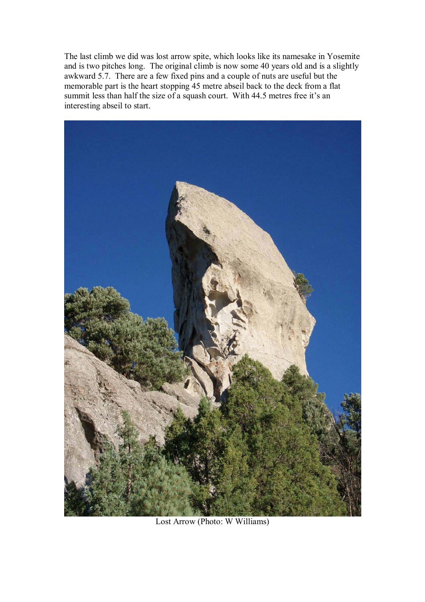The last climb we did was lost arrow spite, which looks like its namesake in Yosemite and is two pitches long. The original climb is now some 40 years old and is a slightly awkward 5.7. There are a few fixed pins and a couple of nuts are useful but the memorable part is the heart stopping 45 metre abseil back to the deck from a flat summit less than half the size of a squash court. With 44.5 metres free it's an interesting abseil to start.



Lost Arrow (Photo: W Williams)